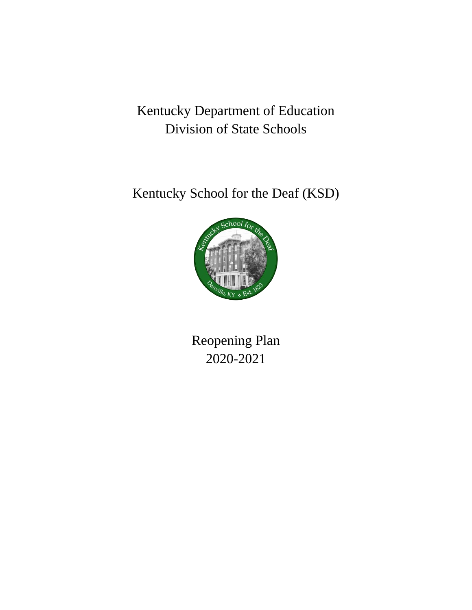# Kentucky Department of Education Division of State Schools

Kentucky School for the Deaf (KSD)



Reopening Plan 2020-2021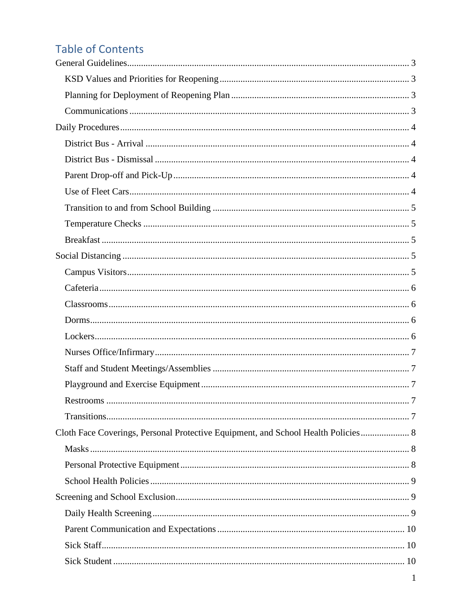# **Table of Contents**

| Cloth Face Coverings, Personal Protective Equipment, and School Health Policies 8 |  |
|-----------------------------------------------------------------------------------|--|
|                                                                                   |  |
|                                                                                   |  |
|                                                                                   |  |
|                                                                                   |  |
|                                                                                   |  |
|                                                                                   |  |
|                                                                                   |  |
|                                                                                   |  |
|                                                                                   |  |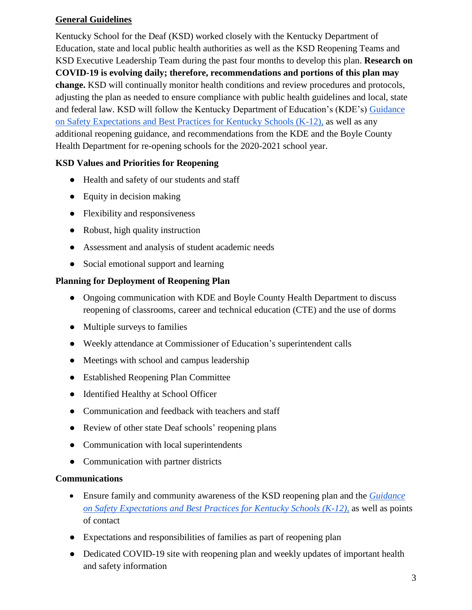## <span id="page-3-0"></span>**General Guidelines**

Kentucky School for the Deaf (KSD) worked closely with the Kentucky Department of Education, state and local public health authorities as well as the KSD Reopening Teams and KSD Executive Leadership Team during the past four months to develop this plan. **Research on COVID-19 is evolving daily; therefore, recommendations and portions of this plan may change.** KSD will continually monitor health conditions and review procedures and protocols, adjusting the plan as needed to ensure compliance with public health guidelines and local, state and federal law. KSD will follow the Kentucky Department of Education's (KDE's) [Guidance](https://education.ky.gov/comm/Documents/Safety%20Expectations_FINAL%20DOC.pdf)  [on Safety Expectations and Best Practices for Kentucky Schools \(K-12\),](https://education.ky.gov/comm/Documents/Safety%20Expectations_FINAL%20DOC.pdf) as well as any additional reopening guidance, and recommendations from the KDE and the Boyle County Health Department for re-opening schools for the 2020-2021 school year.

## <span id="page-3-1"></span>**KSD Values and Priorities for Reopening**

- Health and safety of our students and staff
- Equity in decision making
- Flexibility and responsiveness
- Robust, high quality instruction
- Assessment and analysis of student academic needs
- Social emotional support and learning

#### <span id="page-3-2"></span>**Planning for Deployment of Reopening Plan**

- Ongoing communication with KDE and Boyle County Health Department to discuss reopening of classrooms, career and technical education (CTE) and the use of dorms
- Multiple surveys to families
- Weekly attendance at Commissioner of Education's superintendent calls
- Meetings with school and campus leadership
- Established Reopening Plan Committee
- Identified Healthy at School Officer
- Communication and feedback with teachers and staff
- Review of other state Deaf schools' reopening plans
- Communication with local superintendents
- Communication with partner districts

#### <span id="page-3-3"></span>**Communications**

- Ensure family and community awareness of the KSD reopening plan and the *[Guidance](https://education.ky.gov/comm/Documents/Safety%20Expectations_FINAL%20DOC.pdf)  [on Safety Expectations and Best Practices for Kentucky Schools \(K-12\),](https://education.ky.gov/comm/Documents/Safety%20Expectations_FINAL%20DOC.pdf)* as well as points of contact
- Expectations and responsibilities of families as part of reopening plan
- Dedicated COVID-19 site with reopening plan and weekly updates of important health and safety information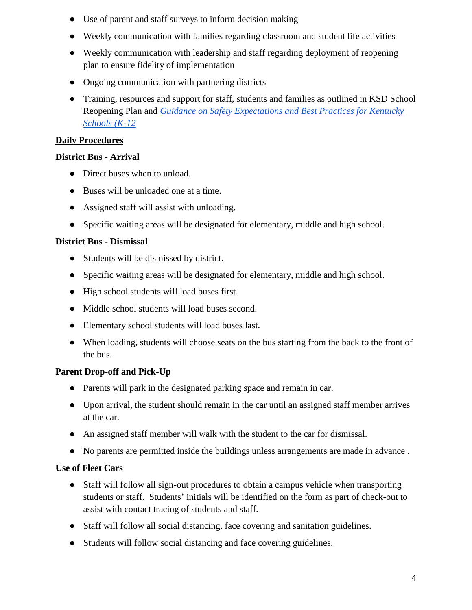- Use of parent and staff surveys to inform decision making
- Weekly communication with families regarding classroom and student life activities
- Weekly communication with leadership and staff regarding deployment of reopening plan to ensure fidelity of implementation
- Ongoing communication with partnering districts
- Training, resources and support for staff, students and families as outlined in KSD School Reopening Plan and *[Guidance on Safety Expectations and Best Practices for Kentucky](https://education.ky.gov/comm/Documents/Safety%20Expectations_FINAL%20DOC.pdf)  [Schools \(K-12](https://education.ky.gov/comm/Documents/Safety%20Expectations_FINAL%20DOC.pdf)*

## <span id="page-4-0"></span>**Daily Procedures**

## <span id="page-4-1"></span>**District Bus - Arrival**

- Direct buses when to unload.
- Buses will be unloaded one at a time.
- Assigned staff will assist with unloading.
- Specific waiting areas will be designated for elementary, middle and high school.

## <span id="page-4-2"></span>**District Bus - Dismissal**

- Students will be dismissed by district.
- Specific waiting areas will be designated for elementary, middle and high school.
- High school students will load buses first.
- Middle school students will load buses second.
- Elementary school students will load buses last.
- When loading, students will choose seats on the bus starting from the back to the front of the bus.

# <span id="page-4-3"></span>**Parent Drop-off and Pick-Up**

- Parents will park in the designated parking space and remain in car.
- Upon arrival, the student should remain in the car until an assigned staff member arrives at the car.
- An assigned staff member will walk with the student to the car for dismissal.
- No parents are permitted inside the buildings unless arrangements are made in advance .

# <span id="page-4-4"></span>**Use of Fleet Cars**

- Staff will follow all sign-out procedures to obtain a campus vehicle when transporting students or staff. Students' initials will be identified on the form as part of check-out to assist with contact tracing of students and staff.
- Staff will follow all social distancing, face covering and sanitation guidelines.
- Students will follow social distancing and face covering guidelines.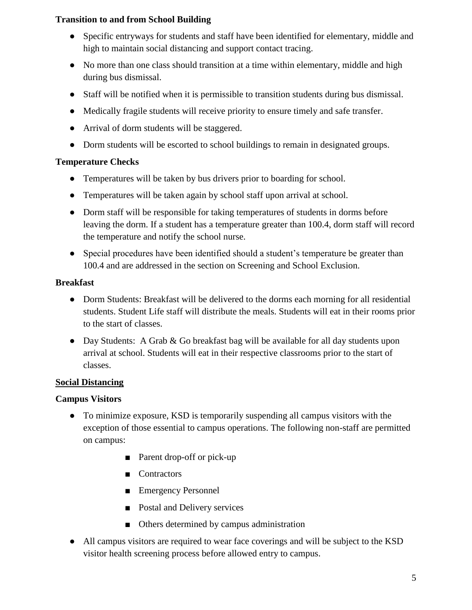## <span id="page-5-0"></span>**Transition to and from School Building**

- Specific entryways for students and staff have been identified for elementary, middle and high to maintain social distancing and support contact tracing.
- No more than one class should transition at a time within elementary, middle and high during bus dismissal.
- Staff will be notified when it is permissible to transition students during bus dismissal.
- Medically fragile students will receive priority to ensure timely and safe transfer.
- Arrival of dorm students will be staggered.
- Dorm students will be escorted to school buildings to remain in designated groups.

## <span id="page-5-1"></span>**Temperature Checks**

- Temperatures will be taken by bus drivers prior to boarding for school.
- Temperatures will be taken again by school staff upon arrival at school.
- Dorm staff will be responsible for taking temperatures of students in dorms before leaving the dorm. If a student has a temperature greater than 100.4, dorm staff will record the temperature and notify the school nurse.
- Special procedures have been identified should a student's temperature be greater than 100.4 and are addressed in the section on Screening and School Exclusion.

#### <span id="page-5-2"></span>**Breakfast**

- Dorm Students: Breakfast will be delivered to the dorms each morning for all residential students. Student Life staff will distribute the meals. Students will eat in their rooms prior to the start of classes.
- Day Students: A Grab & Go breakfast bag will be available for all day students upon arrival at school. Students will eat in their respective classrooms prior to the start of classes.

## <span id="page-5-3"></span>**Social Distancing**

## <span id="page-5-4"></span>**Campus Visitors**

- To minimize exposure, KSD is temporarily suspending all campus visitors with the exception of those essential to campus operations. The following non-staff are permitted on campus:
	- Parent drop-off or pick-up
	- Contractors
	- Emergency Personnel
	- Postal and Delivery services
	- Others determined by campus administration
- All campus visitors are required to wear face coverings and will be subject to the KSD visitor health screening process before allowed entry to campus.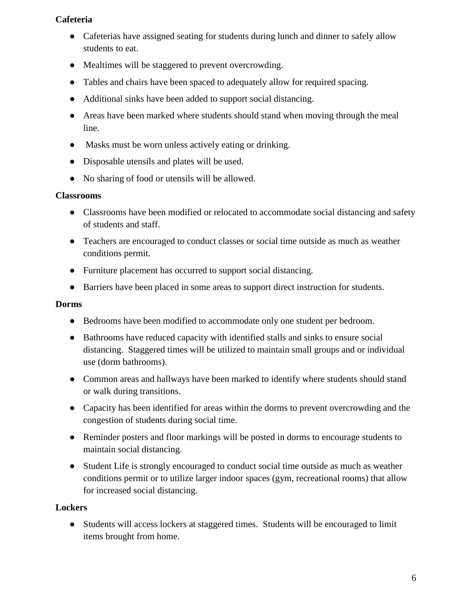## <span id="page-6-0"></span>**Cafeteria**

- Cafeterias have assigned seating for students during lunch and dinner to safely allow students to eat.
- Mealtimes will be staggered to prevent overcrowding.
- Tables and chairs have been spaced to adequately allow for required spacing.
- Additional sinks have been added to support social distancing.
- Areas have been marked where students should stand when moving through the meal line.
- Masks must be worn unless actively eating or drinking.
- Disposable utensils and plates will be used.
- No sharing of food or utensils will be allowed.

#### <span id="page-6-1"></span>**Classrooms**

- Classrooms have been modified or relocated to accommodate social distancing and safety of students and staff.
- Teachers are encouraged to conduct classes or social time outside as much as weather conditions permit.
- Furniture placement has occurred to support social distancing.
- Barriers have been placed in some areas to support direct instruction for students.

#### <span id="page-6-2"></span>**Dorms**

- Bedrooms have been modified to accommodate only one student per bedroom.
- Bathrooms have reduced capacity with identified stalls and sinks to ensure social distancing. Staggered times will be utilized to maintain small groups and or individual use (dorm bathrooms).
- Common areas and hallways have been marked to identify where students should stand or walk during transitions.
- Capacity has been identified for areas within the dorms to prevent overcrowding and the congestion of students during social time.
- Reminder posters and floor markings will be posted in dorms to encourage students to maintain social distancing.
- Student Life is strongly encouraged to conduct social time outside as much as weather conditions permit or to utilize larger indoor spaces (gym, recreational rooms) that allow for increased social distancing.

#### <span id="page-6-3"></span>**Lockers**

● Students will access lockers at staggered times. Students will be encouraged to limit items brought from home.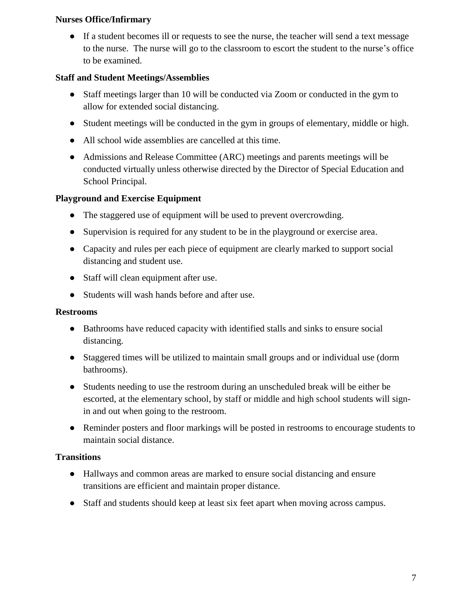#### <span id="page-7-0"></span>**Nurses Office/Infirmary**

• If a student becomes ill or requests to see the nurse, the teacher will send a text message to the nurse. The nurse will go to the classroom to escort the student to the nurse's office to be examined.

## <span id="page-7-1"></span>**Staff and Student Meetings/Assemblies**

- Staff meetings larger than 10 will be conducted via Zoom or conducted in the gym to allow for extended social distancing.
- Student meetings will be conducted in the gym in groups of elementary, middle or high.
- All school wide assemblies are cancelled at this time.
- Admissions and Release Committee (ARC) meetings and parents meetings will be conducted virtually unless otherwise directed by the Director of Special Education and School Principal.

## <span id="page-7-2"></span>**Playground and Exercise Equipment**

- The staggered use of equipment will be used to prevent overcrowding.
- Supervision is required for any student to be in the playground or exercise area.
- Capacity and rules per each piece of equipment are clearly marked to support social distancing and student use.
- Staff will clean equipment after use.
- Students will wash hands before and after use.

#### <span id="page-7-3"></span>**Restrooms**

- Bathrooms have reduced capacity with identified stalls and sinks to ensure social distancing.
- Staggered times will be utilized to maintain small groups and or individual use (dorm bathrooms).
- Students needing to use the restroom during an unscheduled break will be either be escorted, at the elementary school, by staff or middle and high school students will signin and out when going to the restroom.
- Reminder posters and floor markings will be posted in restrooms to encourage students to maintain social distance.

## <span id="page-7-4"></span>**Transitions**

- Hallways and common areas are marked to ensure social distancing and ensure transitions are efficient and maintain proper distance.
- Staff and students should keep at least six feet apart when moving across campus.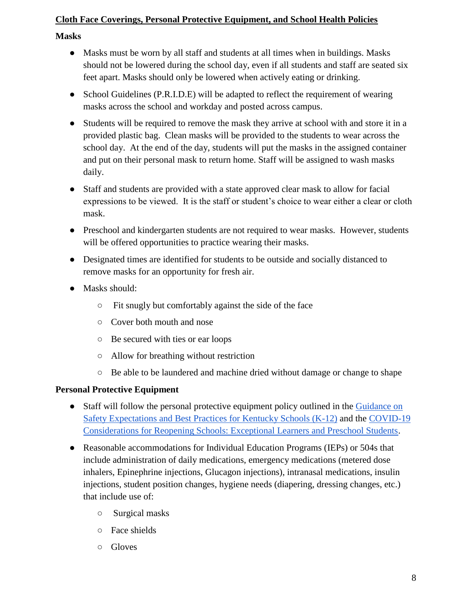## <span id="page-8-0"></span>**Cloth Face Coverings, Personal Protective Equipment, and School Health Policies**

#### <span id="page-8-1"></span>**Masks**

- Masks must be worn by all staff and students at all times when in buildings. Masks should not be lowered during the school day, even if all students and staff are seated six feet apart. Masks should only be lowered when actively eating or drinking.
- School Guidelines (P.R.I.D.E) will be adapted to reflect the requirement of wearing masks across the school and workday and posted across campus.
- Students will be required to remove the mask they arrive at school with and store it in a provided plastic bag. Clean masks will be provided to the students to wear across the school day. At the end of the day, students will put the masks in the assigned container and put on their personal mask to return home. Staff will be assigned to wash masks daily.
- Staff and students are provided with a state approved clear mask to allow for facial expressions to be viewed. It is the staff or student's choice to wear either a clear or cloth mask.
- Preschool and kindergarten students are not required to wear masks. However, students will be offered opportunities to practice wearing their masks.
- Designated times are identified for students to be outside and socially distanced to remove masks for an opportunity for fresh air.
- Masks should:
	- Fit snugly but comfortably against the side of the face
	- Cover both mouth and nose
	- Be secured with ties or ear loops
	- Allow for breathing without restriction
	- Be able to be laundered and machine dried without damage or change to shape

#### <span id="page-8-2"></span>**Personal Protective Equipment**

- Staff will follow th[e](https://education.ky.gov/comm/Documents/Safety%20Expectations_FINAL%20DOC.pdf) personal protective equipment policy outlined in the Guidance on Safety [Expectations and Best Practices for Kentucky Schools \(K-12\)](https://education.ky.gov/comm/Documents/Safety%20Expectations_FINAL%20DOC.pdf) and the [COVID-19](https://education.ky.gov/comm/Documents/Reopening%20Considerations%20for%20Exceptional%20Learners%20and%20Preschool%20FINAL.pdf)  [Considerations for Reopening Schools: Exceptional Learners and Preschool Students.](https://education.ky.gov/comm/Documents/Reopening%20Considerations%20for%20Exceptional%20Learners%20and%20Preschool%20FINAL.pdf)
- Reasonable accommodations for Individual Education Programs (IEPs) or 504s that include administration of daily medications, emergency medications (metered dose inhalers, Epinephrine injections, Glucagon injections), intranasal medications, insulin injections, student position changes, hygiene needs (diapering, dressing changes, etc.) that include use of:
	- Surgical masks
	- Face shields
	- Gloves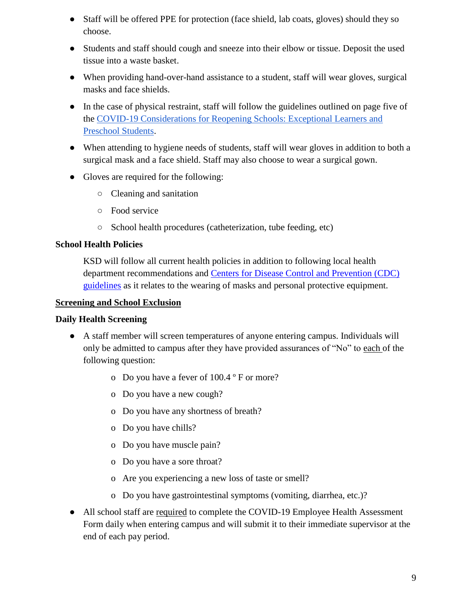- Staff will be offered PPE for protection (face shield, lab coats, gloves) should they so choose.
- Students and staff should cough and sneeze into their elbow or tissue. Deposit the used tissue into a waste basket.
- When providing hand-over-hand assistance to a student, staff will wear gloves, surgical masks and face shields.
- In the case of physical restraint, staff will follow the guidelines outlined on page five of th[e](https://education.ky.gov/comm/Documents/Reopening%20Considerations%20for%20Exceptional%20Learners%20and%20Preschool%20FINAL.pdf) [COVID-19 Considerations for Reopening Schools: Exceptional Learners and](https://education.ky.gov/comm/Documents/Reopening%20Considerations%20for%20Exceptional%20Learners%20and%20Preschool%20FINAL.pdf)  [Preschool Students.](https://education.ky.gov/comm/Documents/Reopening%20Considerations%20for%20Exceptional%20Learners%20and%20Preschool%20FINAL.pdf)
- When attending to hygiene needs of students, staff will wear gloves in addition to both a surgical mask and a face shield. Staff may also choose to wear a surgical gown.
- Gloves are required for the following:
	- Cleaning and sanitation
	- Food service
	- School health procedures (catheterization, tube feeding, etc)

## <span id="page-9-0"></span>**School Health Policies**

KSD will follow all current health policies in addition to following local health department recommendations and [Centers for Disease Control and Prevention \(CDC\)](https://www.cdc.gov/coronavirus/2019-ncov/downloads/cloth-face-covering.pdf)  [guidelines](https://www.cdc.gov/coronavirus/2019-ncov/downloads/cloth-face-covering.pdf) as it relates to the wearing of masks and personal protective equipment.

#### <span id="page-9-1"></span>**Screening and School Exclusion**

#### <span id="page-9-2"></span>**Daily Health Screening**

- A staff member will screen temperatures of anyone entering campus. Individuals will only be admitted to campus after they have provided assurances of "No" to each of the following question:
	- o Do you have a fever of 100.4 º F or more?
	- o Do you have a new cough?
	- o Do you have any shortness of breath?
	- o Do you have chills?
	- o Do you have muscle pain?
	- o Do you have a sore throat?
	- o Are you experiencing a new loss of taste or smell?
	- o Do you have gastrointestinal symptoms (vomiting, diarrhea, etc.)?
- All school staff are required to complete the COVID-19 Employee Health Assessment Form daily when entering campus and will submit it to their immediate supervisor at the end of each pay period.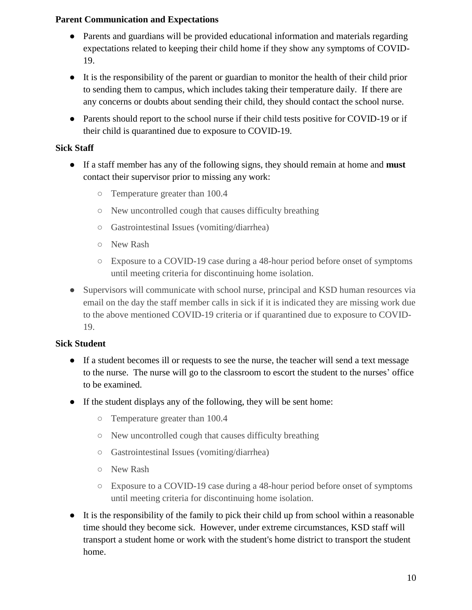### <span id="page-10-0"></span>**Parent Communication and Expectations**

- Parents and guardians will be provided educational information and materials regarding expectations related to keeping their child home if they show any symptoms of COVID-19.
- It is the responsibility of the parent or guardian to monitor the health of their child prior to sending them to campus, which includes taking their temperature daily. If there are any concerns or doubts about sending their child, they should contact the school nurse.
- Parents should report to the school nurse if their child tests positive for COVID-19 or if their child is quarantined due to exposure to COVID-19.

## <span id="page-10-1"></span>**Sick Staff**

- If a staff member has any of the following signs, they should remain at home and **must** contact their supervisor prior to missing any work:
	- Temperature greater than 100.4
	- New uncontrolled cough that causes difficulty breathing
	- Gastrointestinal Issues (vomiting/diarrhea)
	- New Rash
	- Exposure to a COVID-19 case during a 48-hour period before onset of symptoms until meeting criteria for discontinuing home isolation.
- Supervisors will communicate with school nurse, principal and KSD human resources via email on the day the staff member calls in sick if it is indicated they are missing work due to the above mentioned COVID-19 criteria or if quarantined due to exposure to COVID-19.

## <span id="page-10-2"></span>**Sick Student**

- If a student becomes ill or requests to see the nurse, the teacher will send a text message to the nurse. The nurse will go to the classroom to escort the student to the nurses' office to be examined.
- If the student displays any of the following, they will be sent home:
	- Temperature greater than 100.4
	- New uncontrolled cough that causes difficulty breathing
	- Gastrointestinal Issues (vomiting/diarrhea)
	- New Rash
	- Exposure to a COVID-19 case during a 48-hour period before onset of symptoms until meeting criteria for discontinuing home isolation.
- It is the responsibility of the family to pick their child up from school within a reasonable time should they become sick. However, under extreme circumstances, KSD staff will transport a student home or work with the student's home district to transport the student home.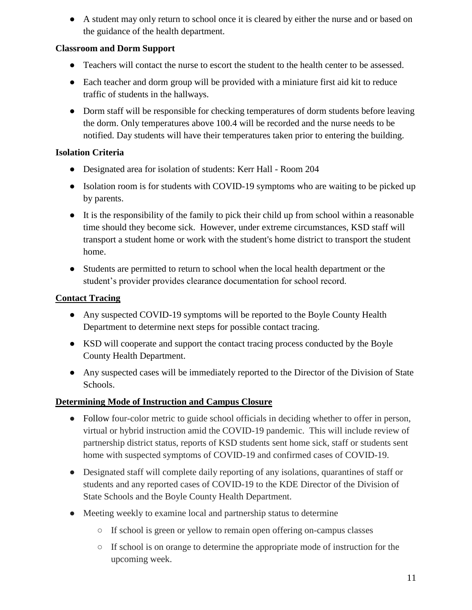● A student may only return to school once it is cleared by either the nurse and or based on the guidance of the health department.

## <span id="page-11-0"></span>**Classroom and Dorm Support**

- Teachers will contact the nurse to escort the student to the health center to be assessed.
- Each teacher and dorm group will be provided with a miniature first aid kit to reduce traffic of students in the hallways.
- Dorm staff will be responsible for checking temperatures of dorm students before leaving the dorm. Only temperatures above 100.4 will be recorded and the nurse needs to be notified. Day students will have their temperatures taken prior to entering the building.

## <span id="page-11-1"></span>**Isolation Criteria**

- Designated area for isolation of students: Kerr Hall Room 204
- Isolation room is for students with COVID-19 symptoms who are waiting to be picked up by parents.
- It is the responsibility of the family to pick their child up from school within a reasonable time should they become sick. However, under extreme circumstances, KSD staff will transport a student home or work with the student's home district to transport the student home.
- Students are permitted to return to school when the local health department or the student's provider provides clearance documentation for school record.

## <span id="page-11-2"></span>**Contact Tracing**

- Any suspected COVID-19 symptoms will be reported to the Boyle County Health Department to determine next steps for possible contact tracing.
- KSD will cooperate and support the contact tracing process conducted by the Boyle County Health Department.
- Any suspected cases will be immediately reported to the Director of the Division of State Schools.

## <span id="page-11-3"></span>**Determining Mode of Instruction and Campus Closure**

- Follow four-color metric to guide school officials in deciding whether to offer in person, virtual or hybrid instruction amid the COVID-19 pandemic. This will include review of partnership district status, reports of KSD students sent home sick, staff or students sent home with suspected symptoms of COVID-19 and confirmed cases of COVID-19.
- Designated staff will complete daily reporting of any isolations, quarantines of staff or students and any reported cases of COVID-19 to the KDE Director of the Division of State Schools and the Boyle County Health Department.
- Meeting weekly to examine local and partnership status to determine
	- If school is green or yellow to remain open offering on-campus classes
	- If school is on orange to determine the appropriate mode of instruction for the upcoming week.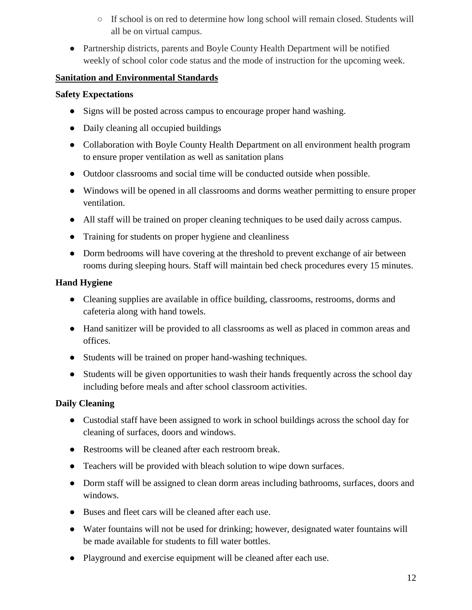- If school is on red to determine how long school will remain closed. Students will all be on virtual campus.
- Partnership districts, parents and Boyle County Health Department will be notified weekly of school color code status and the mode of instruction for the upcoming week.

## <span id="page-12-0"></span>**Sanitation and Environmental Standards**

#### <span id="page-12-1"></span>**Safety Expectations**

- Signs will be posted across campus to encourage proper hand washing.
- Daily cleaning all occupied buildings
- Collaboration with Boyle County Health Department on all environment health program to ensure proper ventilation as well as sanitation plans
- Outdoor classrooms and social time will be conducted outside when possible.
- Windows will be opened in all classrooms and dorms weather permitting to ensure proper ventilation.
- All staff will be trained on proper cleaning techniques to be used daily across campus.
- Training for students on proper hygiene and cleanliness
- Dorm bedrooms will have covering at the threshold to prevent exchange of air between rooms during sleeping hours. Staff will maintain bed check procedures every 15 minutes.

## <span id="page-12-2"></span>**Hand Hygiene**

- Cleaning supplies are available in office building, classrooms, restrooms, dorms and cafeteria along with hand towels.
- Hand sanitizer will be provided to all classrooms as well as placed in common areas and offices.
- Students will be trained on proper hand-washing techniques.
- Students will be given opportunities to wash their hands frequently across the school day including before meals and after school classroom activities.

# <span id="page-12-3"></span>**Daily Cleaning**

- Custodial staff have been assigned to work in school buildings across the school day for cleaning of surfaces, doors and windows.
- Restrooms will be cleaned after each restroom break.
- Teachers will be provided with bleach solution to wipe down surfaces.
- Dorm staff will be assigned to clean dorm areas including bathrooms, surfaces, doors and windows.
- Buses and fleet cars will be cleaned after each use.
- Water fountains will not be used for drinking; however, designated water fountains will be made available for students to fill water bottles.
- Playground and exercise equipment will be cleaned after each use.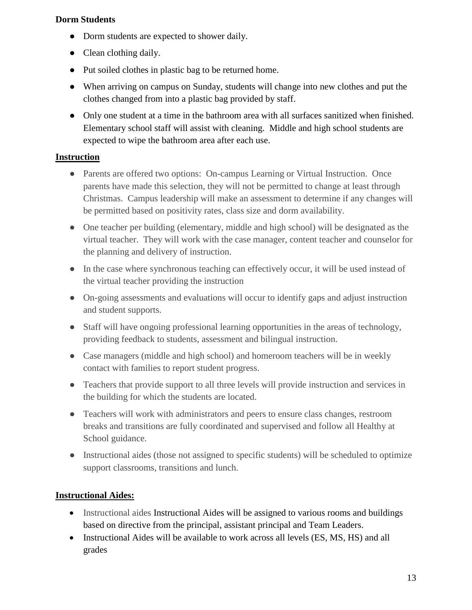#### <span id="page-13-0"></span>**Dorm Students**

- Dorm students are expected to shower daily.
- Clean clothing daily.
- Put soiled clothes in plastic bag to be returned home.
- When arriving on campus on Sunday, students will change into new clothes and put the clothes changed from into a plastic bag provided by staff.
- Only one student at a time in the bathroom area with all surfaces sanitized when finished. Elementary school staff will assist with cleaning. Middle and high school students are expected to wipe the bathroom area after each use.

## <span id="page-13-1"></span>**Instruction**

- Parents are offered two options: On-campus Learning or Virtual Instruction. Once parents have made this selection, they will not be permitted to change at least through Christmas. Campus leadership will make an assessment to determine if any changes will be permitted based on positivity rates, class size and dorm availability.
- One teacher per building (elementary, middle and high school) will be designated as the virtual teacher. They will work with the case manager, content teacher and counselor for the planning and delivery of instruction.
- In the case where synchronous teaching can effectively occur, it will be used instead of the virtual teacher providing the instruction
- On-going assessments and evaluations will occur to identify gaps and adjust instruction and student supports.
- Staff will have ongoing professional learning opportunities in the areas of technology, providing feedback to students, assessment and bilingual instruction.
- Case managers (middle and high school) and homeroom teachers will be in weekly contact with families to report student progress.
- Teachers that provide support to all three levels will provide instruction and services in the building for which the students are located.
- Teachers will work with administrators and peers to ensure class changes, restroom breaks and transitions are fully coordinated and supervised and follow all Healthy at School guidance.
- Instructional aides (those not assigned to specific students) will be scheduled to optimize support classrooms, transitions and lunch.

# <span id="page-13-2"></span>**Instructional Aides:**

- Instructional aides Instructional Aides will be assigned to various rooms and buildings based on directive from the principal, assistant principal and Team Leaders.
- Instructional Aides will be available to work across all levels (ES, MS, HS) and all grades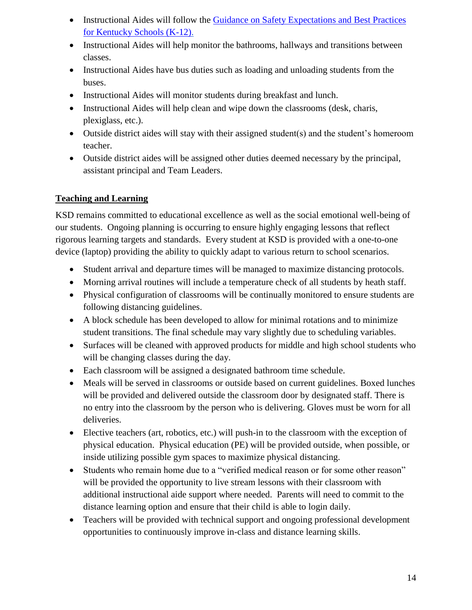- Instructional Aides will follow the Guidance on Safety Expectations and Best Practices [for Kentucky Schools \(K-12\).](https://education.ky.gov/comm/Documents/Safety%20Expectations_FINAL%20DOC.pdf)
- Instructional Aides will help monitor the bathrooms, hallways and transitions between classes.
- Instructional Aides have bus duties such as loading and unloading students from the buses.
- Instructional Aides will monitor students during breakfast and lunch.
- Instructional Aides will help clean and wipe down the classrooms (desk, charis, plexiglass, etc.).
- Outside district aides will stay with their assigned student(s) and the student's homeroom teacher.
- Outside district aides will be assigned other duties deemed necessary by the principal, assistant principal and Team Leaders.

## <span id="page-14-0"></span>**Teaching and Learning**

KSD remains committed to educational excellence as well as the social emotional well-being of our students. Ongoing planning is occurring to ensure highly engaging lessons that reflect rigorous learning targets and standards. Every student at KSD is provided with a one-to-one device (laptop) providing the ability to quickly adapt to various return to school scenarios.

- Student arrival and departure times will be managed to maximize distancing protocols.
- Morning arrival routines will include a temperature check of all students by heath staff.
- Physical configuration of classrooms will be continually monitored to ensure students are following distancing guidelines.
- A block schedule has been developed to allow for minimal rotations and to minimize student transitions. The final schedule may vary slightly due to scheduling variables.
- Surfaces will be cleaned with approved products for middle and high school students who will be changing classes during the day.
- Each classroom will be assigned a designated bathroom time schedule.
- Meals will be served in classrooms or outside based on current guidelines. Boxed lunches will be provided and delivered outside the classroom door by designated staff. There is no entry into the classroom by the person who is delivering. Gloves must be worn for all deliveries.
- Elective teachers (art, robotics, etc.) will push-in to the classroom with the exception of physical education. Physical education (PE) will be provided outside, when possible, or inside utilizing possible gym spaces to maximize physical distancing.
- Students who remain home due to a "verified medical reason or for some other reason" will be provided the opportunity to live stream lessons with their classroom with additional instructional aide support where needed. Parents will need to commit to the distance learning option and ensure that their child is able to login daily.
- Teachers will be provided with technical support and ongoing professional development opportunities to continuously improve in-class and distance learning skills.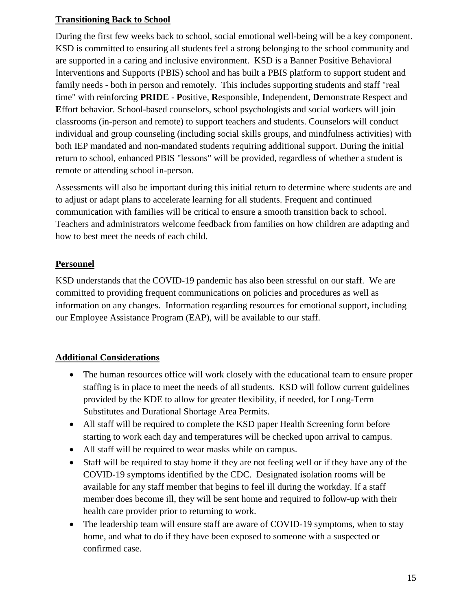## <span id="page-15-0"></span>**Transitioning Back to School**

During the first few weeks back to school, social emotional well-being will be a key component. KSD is committed to ensuring all students feel a strong belonging to the school community and are supported in a caring and inclusive environment. KSD is a Banner Positive Behavioral Interventions and Supports (PBIS) school and has built a PBIS platform to support student and family needs - both in person and remotely. This includes supporting students and staff "real time" with reinforcing **PRIDE** - **P**ositive, **R**esponsible, **I**ndependent, **D**emonstrate Respect and **E**ffort behavior. School-based counselors, school psychologists and social workers will join classrooms (in-person and remote) to support teachers and students. Counselors will conduct individual and group counseling (including social skills groups, and mindfulness activities) with both IEP mandated and non-mandated students requiring additional support. During the initial return to school, enhanced PBIS "lessons" will be provided, regardless of whether a student is remote or attending school in-person.

Assessments will also be important during this initial return to determine where students are and to adjust or adapt plans to accelerate learning for all students. Frequent and continued communication with families will be critical to ensure a smooth transition back to school. Teachers and administrators welcome feedback from families on how children are adapting and how to best meet the needs of each child.

## <span id="page-15-1"></span>**Personnel**

KSD understands that the COVID-19 pandemic has also been stressful on our staff. We are committed to providing frequent communications on policies and procedures as well as information on any changes. Information regarding resources for emotional support, including our Employee Assistance Program (EAP), will be available to our staff.

## <span id="page-15-2"></span>**Additional Considerations**

- The human resources office will work closely with the educational team to ensure proper staffing is in place to meet the needs of all students. KSD will follow current guidelines provided by the KDE to allow for greater flexibility, if needed, for Long-Term Substitutes and Durational Shortage Area Permits.
- All staff will be required to complete the KSD paper Health Screening form before starting to work each day and temperatures will be checked upon arrival to campus.
- All staff will be required to wear masks while on campus.
- Staff will be required to stay home if they are not feeling well or if they have any of the COVID-19 symptoms identified by the CDC. Designated isolation rooms will be available for any staff member that begins to feel ill during the workday. If a staff member does become ill, they will be sent home and required to follow-up with their health care provider prior to returning to work.
- The leadership team will ensure staff are aware of COVID-19 symptoms, when to stay home, and what to do if they have been exposed to someone with a suspected or confirmed case.